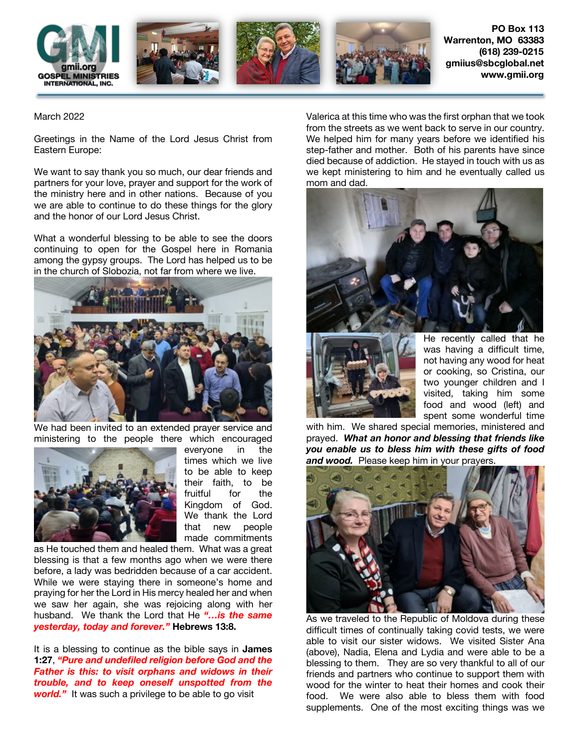

March 2022

Greetings in the Name of the Lord Jesus Christ from Eastern Europe:

We want to say thank you so much, our dear friends and partners for your love, prayer and support for the work of the ministry here and in other nations. Because of you we are able to continue to do these things for the glory and the honor of our Lord Jesus Christ.

What a wonderful blessing to be able to see the doors continuing to open for the Gospel here in Romania among the gypsy groups. The Lord has helped us to be in the church of Slobozia, not far from where we live.



We had been invited to an extended prayer service and ministering to the people there which encouraged



everyone in the times which we live to be able to keep their faith, to be fruitful for the Kingdom of God. We thank the Lord that new people made commitments

as He touched them and healed them. What was a great blessing is that a few months ago when we were there before, a lady was bedridden because of a car accident. While we were staying there in someone's home and praying for her the Lord in His mercy healed her and when we saw her again, she was rejoicing along with her husband. We thank the Lord that He *"…is the same yesterday, today and forever."* **Hebrews 13:8.**

It is a blessing to continue as the bible says in **James 1:27**, *"Pure and undefiled religion before God and the Father is this: to visit orphans and widows in their trouble, and to keep oneself unspotted from the*  **world."** It was such a privilege to be able to go visit

Valerica at this time who was the first orphan that we took from the streets as we went back to serve in our country. We helped him for many years before we identified his step-father and mother. Both of his parents have since died because of addiction. He stayed in touch with us as we kept ministering to him and he eventually called us mom and dad.





He recently called that he was having a difficult time, not having any wood for heat or cooking, so Cristina, our two younger children and I visited, taking him some food and wood (left) and spent some wonderful time

with him. We shared special memories, ministered and prayed. *What an honor and blessing that friends like you enable us to bless him with these gifts of food and wood.* Please keep him in your prayers.



As we traveled to the Republic of Moldova during these difficult times of continually taking covid tests, we were able to visit our sister widows. We visited Sister Ana (above), Nadia, Elena and Lydia and were able to be a blessing to them. They are so very thankful to all of our friends and partners who continue to support them with wood for the winter to heat their homes and cook their food. We were also able to bless them with food supplements. One of the most exciting things was we